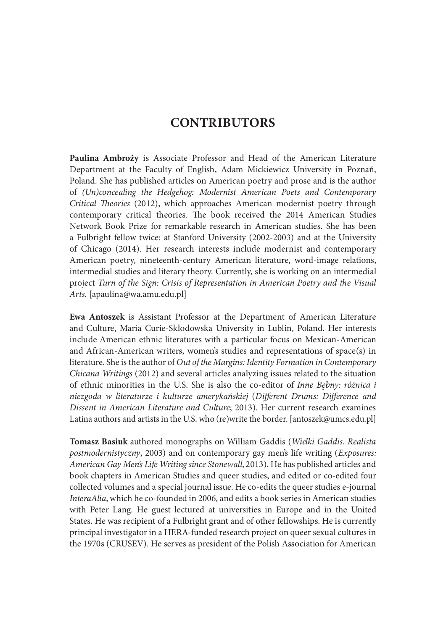# **CONTRIBUTORS**

Paulina Ambroży is Associate Professor and Head of the American Literature Department at the Faculty of English, Adam Mickiewicz University in Poznań, Poland. She has published articles on American poetry and prose and is the author of (Un)concealing the Hedgehog: Modernist American Poets and Contemporary Critical Theories (2012), which approaches American modernist poetry through contemporary critical theories. The book received the 2014 American Studies Network Book Prize for remarkable research in American studies. She has been a Fulbright fellow twice: at Stanford University (2002-2003) and at the University of Chicago (2014). Her research interests include modernist and contemporary American poetry, nineteenth-century American literature, word-image relations, intermedial studies and literary theory. Currently, she is working on an intermedial project Turn of the Sign: Crisis of Representation in American Poetry and the Visual Arts. [apaulina@wa.amu.edu.pl]

Ewa Antoszek is Assistant Professor at the Department of American Literature and Culture, Maria Curie-Skłodowska University in Lublin, Poland. Her interests include American ethnic literatures with a particular focus on Mexican-American and African-American writers, women's studies and representations of space(s) in literature. She is the author of Out of the Margins: Identity Formation in Contemporary Chicana Writings (2012) and several articles analyzing issues related to the situation of ethnic minorities in the U.S. She is also the co-editor of Inne Bębny: różnica i niezgoda w literaturze i kulturze amerykańskiej (Different Drums: Difference and Dissent in American Literature and Culture; 2013). Her current research examines Latina authors and artists in the U.S. who (re)write the border. [antoszek@umcs.edu.pl]

Tomasz Basiuk authored monographs on William Gaddis (Wielki Gaddis. Realista postmodernistyczny, 2003) and on contemporary gay men's life writing (Exposures: American Gay Men's Life Writing since Stonewall, 2013). He has published articles and book chapters in American Studies and queer studies, and edited or co-edited four collected volumes and a special journal issue. He co-edits the queer studies e-journal InteraAlia, which he co-founded in 2006, and edits a book series in American studies with Peter Lang. He guest lectured at universities in Europe and in the United States. He was recipient of a Fulbright grant and of other fellowships. He is currently principal investigator in a HERA-funded research project on queer sexual cultures in the 1970s (CRUSEV). He serves as president of the Polish Association for American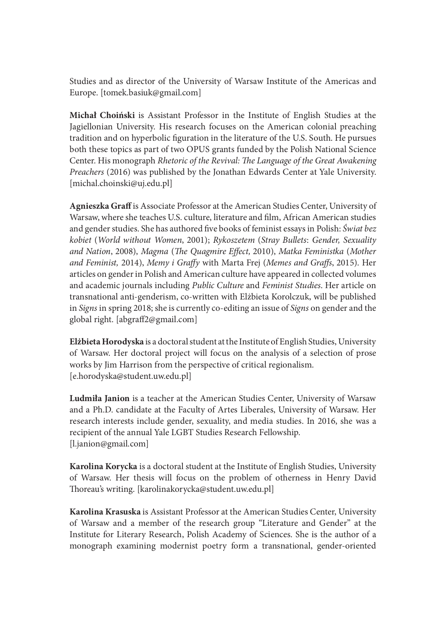Studies and as director of the University of Warsaw Institute of the Americas and Europe. [tomek.basiuk@gmail.com]

Michał Choiński is Assistant Professor in the Institute of English Studies at the Jagiellonian University. His research focuses on the American colonial preaching tradition and on hyperbolic figuration in the literature of the U.S. South. He pursues both these topics as part of two OPUS grants funded by the Polish National Science Center. His monograph Rhetoric of the Revival: The Language of the Great Awakening Preachers (2016) was published by the Jonathan Edwards Center at Yale University. [michal.choinski@uj.edu.pl]

Agnieszka Graff is Associate Professor at the American Studies Center, University of Warsaw, where she teaches U.S. culture, literature and film, African American studies and gender studies. She has authored five books of feminist essays in Polish: Świat bez kobiet (World without Women, 2001); Rykoszetem (Stray Bullets: Gender, Sexuality and Nation, 2008), Magma (The Quagmire Effect, 2010), Matka Feministka (Mother and Feminist, 2014), Memy i Graffy with Marta Frej (Memes and Graffs, 2015). Her articles on gender in Polish and American culture have appeared in collected volumes and academic journals including Public Culture and Feminist Studies. Her article on transnational anti-genderism, co-written with Elżbieta Korolczuk, will be published in Signs in spring 2018; she is currently co-editing an issue of Signs on gender and the global right. [abgraff2@gmail.com]

Elżbieta Horodyska is a doctoral student at the Institute of English Studies, University of Warsaw. Her doctoral project will focus on the analysis of a selection of prose works by Jim Harrison from the perspective of critical regionalism. [e.horodyska@student.uw.edu.pl]

Ludmiła Janion is a teacher at the American Studies Center, University of Warsaw and a Ph.D. candidate at the Faculty of Artes Liberales, University of Warsaw. Her research interests include gender, sexuality, and media studies. In 2016, she was a recipient of the annual Yale LGBT Studies Research Fellowship. [l.janion@gmail.com]

Karolina Korycka is a doctoral student at the Institute of English Studies, University of Warsaw. Her thesis will focus on the problem of otherness in Henry David Thoreau's writing. [karolinakorycka@student.uw.edu.pl]

Karolina Krasuska is Assistant Professor at the American Studies Center, University of Warsaw and a member of the research group "Literature and Gender" at the Institute for Literary Research, Polish Academy of Sciences. She is the author of a monograph examining modernist poetry form a transnational, gender-oriented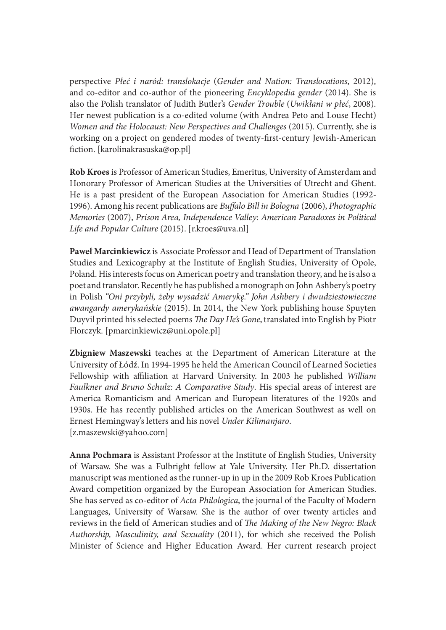perspective Płeć i naród: translokacje (Gender and Nation: Translocations, 2012), and co-editor and co-author of the pioneering Encyklopedia gender (2014). She is also the Polish translator of Judith Butler's Gender Trouble (Uwikłani w płeć, 2008). Her newest publication is a co-edited volume (with Andrea Peto and Louse Hecht) Women and the Holocaust: New Perspectives and Challenges (2015). Currently, she is working on a project on gendered modes of twenty-first-century Jewish-American fiction. [karolinakrasuska@op.pl]

Rob Kroes is Professor of American Studies, Emeritus, University of Amsterdam and Honorary Professor of American Studies at the Universities of Utrecht and Ghent. He is a past president of the European Association for American Studies (1992- 1996). Among his recent publications are Buffalo Bill in Bologna (2006), Photographic Memories (2007), Prison Area, Independence Valley: American Paradoxes in Political Life and Popular Culture (2015). [r.kroes@uva.nl]

Paweł Marcinkiewicz is Associate Professor and Head of Department of Translation Studies and Lexicography at the Institute of English Studies, University of Opole, Poland. His interests focus on American poetry and translation theory, and he is also a poet and translator. Recently he has published a monograph on John Ashbery's poetry in Polish "Oni przybyli, żeby wysadzić Amerykę." John Ashbery i dwudziestowieczne awangardy amerykańskie (2015). In 2014, the New York publishing house Spuyten Duyvil printed his selected poems The Day He's Gone, translated into English by Piotr Florczyk. [pmarcinkiewicz@uni.opole.pl]

Zbigniew Maszewski teaches at the Department of American Literature at the University of Łódź. In 1994-1995 he held the American Council of Learned Societies Fellowship with affiliation at Harvard University. In 2003 he published William Faulkner and Bruno Schulz: A Comparative Study. His special areas of interest are America Romanticism and American and European literatures of the 1920s and 1930s. He has recently published articles on the American Southwest as well on Ernest Hemingway's letters and his novel Under Kilimanjaro. [z.maszewski@yahoo.com]

Anna Pochmara is Assistant Professor at the Institute of English Studies, University of Warsaw. She was a Fulbright fellow at Yale University. Her Ph.D. dissertation manuscript was mentioned as the runner-up in up in the 2009 Rob Kroes Publication Award competition organized by the European Association for American Studies. She has served as co-editor of Acta Philologica, the journal of the Faculty of Modern Languages, University of Warsaw. She is the author of over twenty articles and reviews in the field of American studies and of The Making of the New Negro: Black Authorship, Masculinity, and Sexuality (2011), for which she received the Polish Minister of Science and Higher Education Award. Her current research project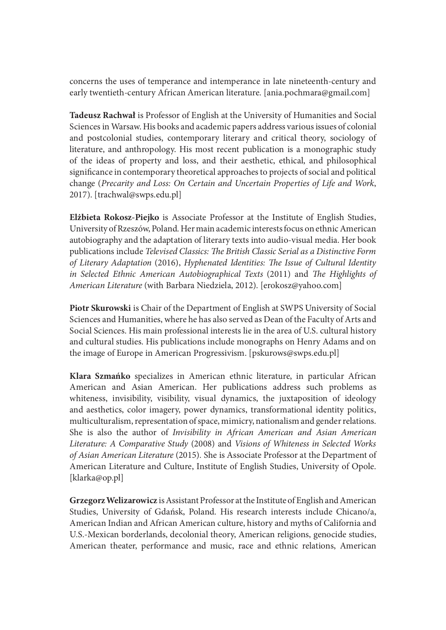concerns the uses of temperance and intemperance in late nineteenth-century and early twentieth-century African American literature. [ania.pochmara@gmail.com]

Tadeusz Rachwał is Professor of English at the University of Humanities and Social Sciences in Warsaw. His books and academic papers address various issues of colonial and postcolonial studies, contemporary literary and critical theory, sociology of literature, and anthropology. His most recent publication is a monographic study of the ideas of property and loss, and their aesthetic, ethical, and philosophical significance in contemporary theoretical approaches to projects of social and political change (Precarity and Loss: On Certain and Uncertain Properties of Life and Work, 2017). [trachwal@swps.edu.pl]

Elżbieta Rokosz-Piejko is Associate Professor at the Institute of English Studies, University of Rzeszów, Poland. Her main academic interests focus on ethnic American autobiography and the adaptation of literary texts into audio-visual media. Her book publications include Televised Classics: The British Classic Serial as a Distinctive Form of Literary Adaptation (2016), Hyphenated Identities: The Issue of Cultural Identity in Selected Ethnic American Autobiographical Texts (2011) and The Highlights of American Literature (with Barbara Niedziela, 2012). [erokosz@yahoo.com]

Piotr Skurowski is Chair of the Department of English at SWPS University of Social Sciences and Humanities, where he has also served as Dean of the Faculty of Arts and Social Sciences. His main professional interests lie in the area of U.S. cultural history and cultural studies. His publications include monographs on Henry Adams and on the image of Europe in American Progressivism. [pskurows@swps.edu.pl]

Klara Szmańko specializes in American ethnic literature, in particular African American and Asian American. Her publications address such problems as whiteness, invisibility, visibility, visual dynamics, the juxtaposition of ideology and aesthetics, color imagery, power dynamics, transformational identity politics, multiculturalism, representation of space, mimicry, nationalism and gender relations. She is also the author of Invisibility in African American and Asian American Literature: A Comparative Study (2008) and Visions of Whiteness in Selected Works of Asian American Literature (2015). She is Associate Professor at the Department of American Literature and Culture, Institute of English Studies, University of Opole. [klarka@op.pl]

Grzegorz Welizarowicz is Assistant Professor at the Institute of English and American Studies, University of Gdańsk, Poland. His research interests include Chicano/a, American Indian and African American culture, history and myths of California and U.S.-Mexican borderlands, decolonial theory, American religions, genocide studies, American theater, performance and music, race and ethnic relations, American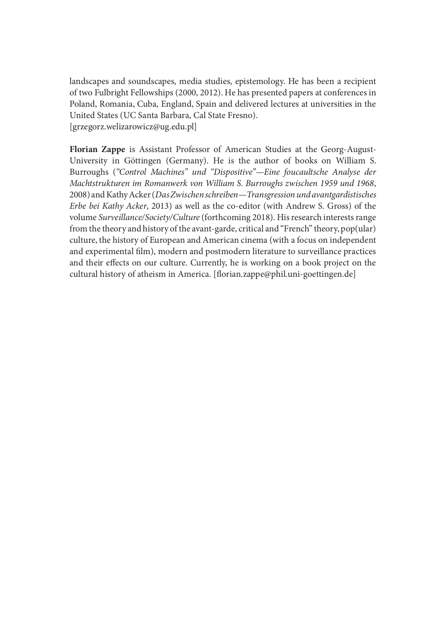landscapes and soundscapes, media studies, epistemology. He has been a recipient of two Fulbright Fellowships (2000, 2012). He has presented papers at conferences in Poland, Romania, Cuba, England, Spain and delivered lectures at universities in the United States (UC Santa Barbara, Cal State Fresno). [grzegorz.welizarowicz@ug.edu.pl]

Florian Zappe is Assistant Professor of American Studies at the Georg-August-University in Göttingen (Germany). He is the author of books on William S. Burroughs ("Control Machines" und "Dispositive"—Eine foucaultsche Analyse der Machtstrukturen im Romanwerk von William S. Burroughs zwischen 1959 und 1968, 2008) and Kathy Acker (Das Zwischen schreiben—Transgression und avantgardistisches Erbe bei Kathy Acker, 2013) as well as the co-editor (with Andrew S. Gross) of the volume Surveillance/Society/Culture (forthcoming 2018). His research interests range from the theory and history of the avant-garde, critical and "French" theory, pop(ular) culture, the history of European and American cinema (with a focus on independent and experimental film), modern and postmodern literature to surveillance practices and their effects on our culture. Currently, he is working on a book project on the cultural history of atheism in America. [florian.zappe@phil.uni-goettingen.de]